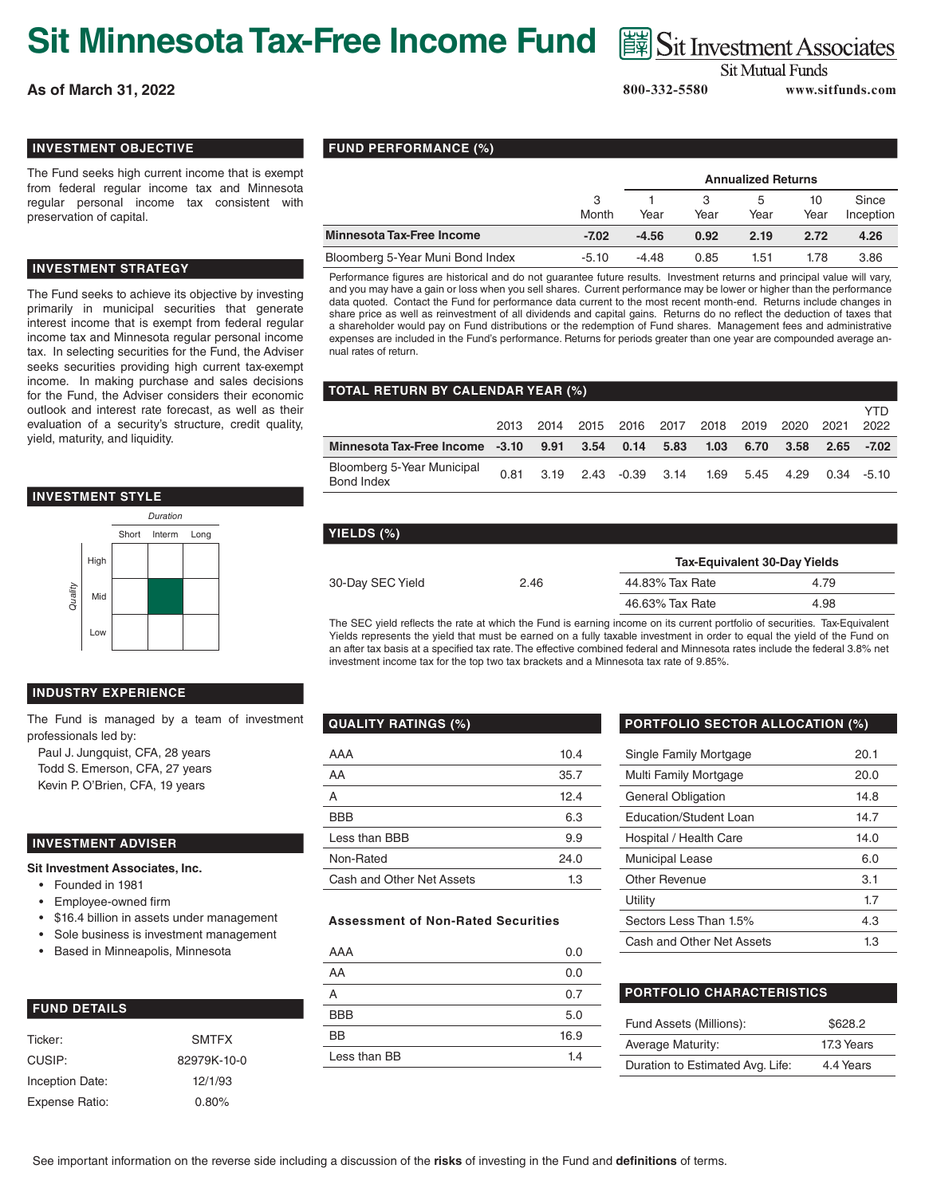# **Sit Minnesota Tax-Free Income Fund** 圖Sit Investment Associates

**As of March 31, 2022 800-332-5580 www.sitfunds.com**

**Sit Mutual Funds** 

YTD

#### **INVESTMENT OBJECTIVE**

The Fund seeks high current income that is exempt from federal regular income tax and Minnesota regular personal income tax consistent with preservation of capital.

#### **INVESTMENT STRATEGY**

The Fund seeks to achieve its objective by investing primarily in municipal securities that generate interest income that is exempt from federal regular income tax and Minnesota regular personal income tax. In selecting securities for the Fund, the Adviser seeks securities providing high current tax-exempt income. In making purchase and sales decisions for the Fund, the Adviser considers their economic outlook and interest rate forecast, as well as their evaluation of a security's structure, credit quality, yield, maturity, and liquidity.





#### **INDUSTRY EXPERIENCE**

The Fund is managed by a team of investment professionals led by:

Paul J. Jungquist, CFA, 28 years Todd S. Emerson, CFA, 27 years Kevin P. O'Brien, CFA, 19 years

#### **INVESTMENT ADVISER**

**Sit Investment Associates, Inc.**

- Founded in 1981
- Employee-owned firm
- \$16.4 billion in assets under management
- Sole business is investment management
- Based in Minneapolis, Minnesota

| <b>FUND DETAILS</b> |
|---------------------|
|                     |

| Ticker:         | <b>SMTFX</b> |
|-----------------|--------------|
| CUSIP:          | 82979K-10-0  |
| Inception Date: | 12/1/93      |
| Expense Ratio:  | 0.80%        |

#### **FUND PERFORMANCE (%)**

|                                  |            | <b>Annualized Returns</b> |      |           |            |                    |
|----------------------------------|------------|---------------------------|------|-----------|------------|--------------------|
|                                  | 3<br>Month | Year                      | Year | b<br>Year | 10<br>Year | Since<br>Inception |
| <b>Minnesota Tax-Free Income</b> | $-7.02$    | $-4.56$                   | 0.92 | 2.19      | 2.72       | 4.26               |
| Bloomberg 5-Year Muni Bond Index | $-5.10$    | $-4.48$                   | 0.85 | 1.51      | 1.78       | 3.86               |

Performance figures are historical and do not guarantee future results. Investment returns and principal value will vary, and you may have a gain or loss when you sell shares. Current performance may be lower or higher than the performance data quoted. Contact the Fund for performance data current to the most recent month-end. Returns include changes in share price as well as reinvestment of all dividends and capital gains. Returns do no reflect the deduction of taxes that a shareholder would pay on Fund distributions or the redemption of Fund shares. Management fees and administrative expenses are included in the Fund's performance. Returns for periods greater than one year are compounded average annual rates of return.

## **TOTAL RETURN BY CALENDAR YEAR (%)**

|                                                                    |  | 2013 2014 2015 2016 2017 2018 2019 2020 2021                 |  |  |      | , , , ,<br>2022 |
|--------------------------------------------------------------------|--|--------------------------------------------------------------|--|--|------|-----------------|
| Minnesota Tax-Free Income -3.10 9.91 3.54 0.14 5.83 1.03 6.70 3.58 |  |                                                              |  |  | 2.65 | -7.02           |
| Bloomberg 5-Year Municipal<br>Bond Index                           |  | 0.81  3.19  2.43  -0.39  3.14  1.69  5.45  4.29  0.34  -5.10 |  |  |      |                 |

### **YIELDS (%)**

|                  |      | <b>Tax-Equivalent 30-Day Yields</b> |      |  |  |
|------------------|------|-------------------------------------|------|--|--|
| 30-Day SEC Yield | 2.46 | 44.83% Tax Rate                     | 4.79 |  |  |
|                  |      | 46.63% Tax Rate                     | 4.98 |  |  |

The SEC yield reflects the rate at which the Fund is earning income on its current portfolio of securities. Tax-Equivalent Yields represents the yield that must be earned on a fully taxable investment in order to equal the yield of the Fund on an after tax basis at a specified tax rate. The effective combined federal and Minnesota rates include the federal 3.8% net investment income tax for the top two tax brackets and a Minnesota tax rate of 9.85%.

| <b>QUALITY RATINGS (%)</b> |      |  |  |
|----------------------------|------|--|--|
| AAA                        | 10.4 |  |  |
| AA                         | 35.7 |  |  |
| А                          | 12.4 |  |  |
| <b>BBB</b>                 | 6.3  |  |  |
| Less than BBB              | 9.9  |  |  |
| Non-Rated                  | 24.0 |  |  |
| Cash and Other Net Assets  | 1.3  |  |  |

#### **Assessment of Non-Rated Securities**

| AAA          | 0.0  |
|--------------|------|
| AA           | 0.0  |
| А            | 0.7  |
| <b>BBB</b>   | 5.0  |
| BB           | 16.9 |
| Less than BB | 1.4  |

#### **PORTFOLIO SECTOR ALLOCATION (%)**

| Single Family Mortgage    | 20.1 |
|---------------------------|------|
| Multi Family Mortgage     | 20.0 |
| General Obligation        | 14.8 |
| Education/Student Loan    | 14.7 |
| Hospital / Health Care    | 14.0 |
| <b>Municipal Lease</b>    | 6.0  |
| Other Revenue             | 3.1  |
| Utility                   | 1.7  |
| Sectors Less Than 1.5%    | 4.3  |
| Cash and Other Net Assets | 1.3  |

#### **PORTFOLIO CHARACTERISTICS**

| Fund Assets (Millions):          | \$628.2    |
|----------------------------------|------------|
| <b>Average Maturity:</b>         | 17.3 Years |
| Duration to Estimated Avg. Life: | 4.4 Years  |

See important information on the reverse side including a discussion of the **risks** of investing in the Fund and **definitions** of terms.